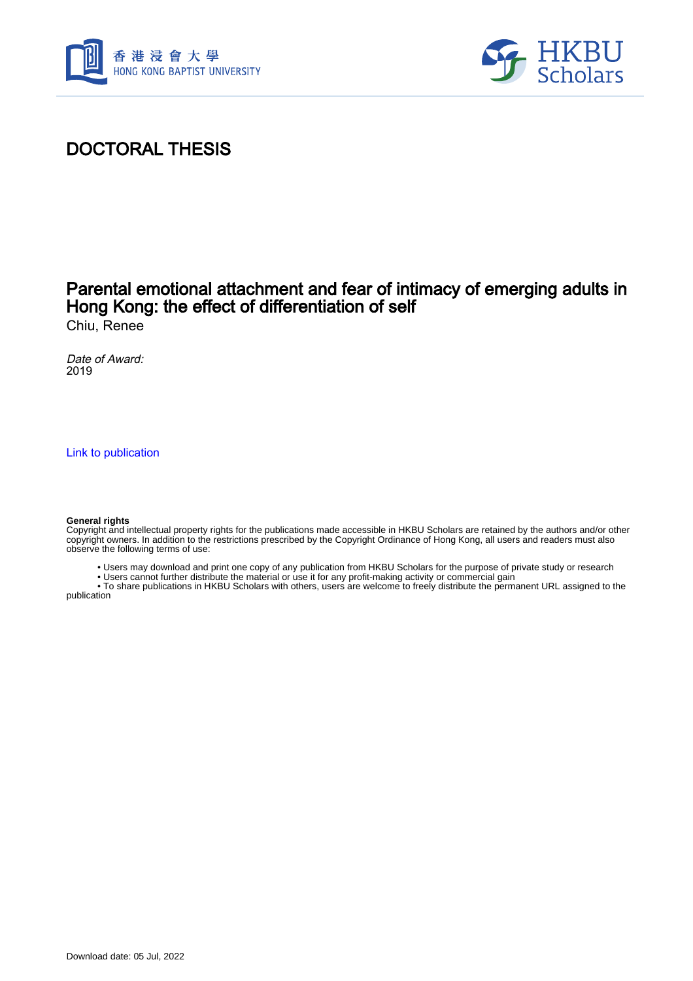



# DOCTORAL THESIS

## Parental emotional attachment and fear of intimacy of emerging adults in Hong Kong: the effect of differentiation of self Chiu, Renee

Date of Award: 2019

[Link to publication](https://scholars.hkbu.edu.hk/en/studentTheses/822bf114-ebde-4ee9-b45c-b68dd9eb77b3)

#### **General rights**

Copyright and intellectual property rights for the publications made accessible in HKBU Scholars are retained by the authors and/or other copyright owners. In addition to the restrictions prescribed by the Copyright Ordinance of Hong Kong, all users and readers must also observe the following terms of use:

• Users may download and print one copy of any publication from HKBU Scholars for the purpose of private study or research

• Users cannot further distribute the material or use it for any profit-making activity or commercial gain

 • To share publications in HKBU Scholars with others, users are welcome to freely distribute the permanent URL assigned to the publication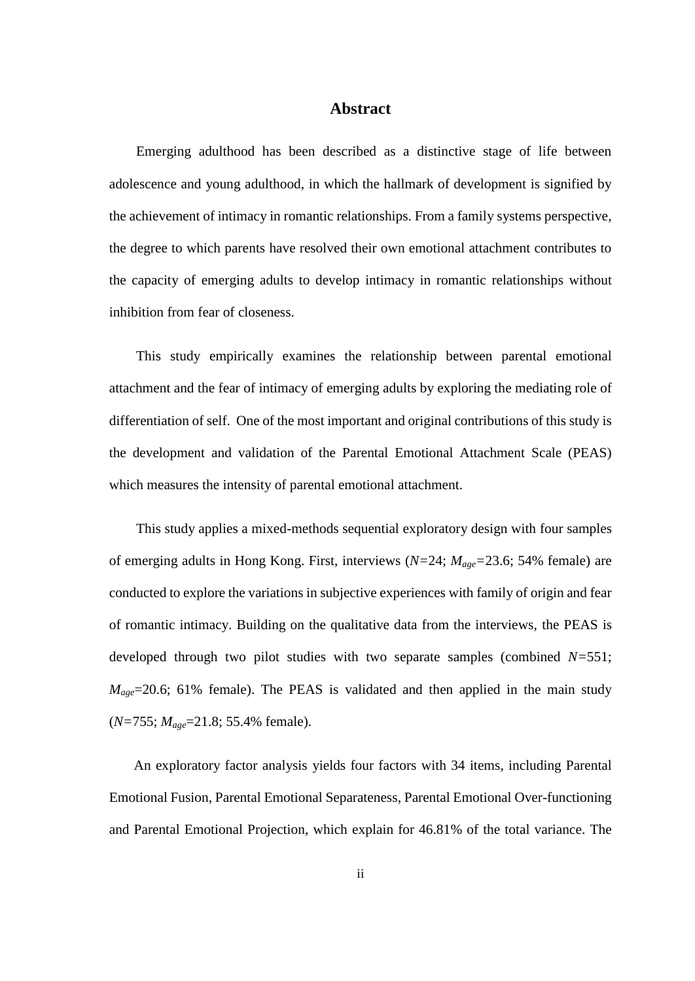### **Abstract**

<span id="page-1-0"></span>Emerging adulthood has been described as a distinctive stage of life between adolescence and young adulthood, in which the hallmark of development is signified by the achievement of intimacy in romantic relationships. From a family systems perspective, the degree to which parents have resolved their own emotional attachment contributes to the capacity of emerging adults to develop intimacy in romantic relationships without inhibition from fear of closeness.

This study empirically examines the relationship between parental emotional attachment and the fear of intimacy of emerging adults by exploring the mediating role of differentiation of self. One of the most important and original contributions of this study is the development and validation of the Parental Emotional Attachment Scale (PEAS) which measures the intensity of parental emotional attachment.

This study applies a mixed-methods sequential exploratory design with four samples of emerging adults in Hong Kong. First, interviews (*N=*24; *Mage=*23.6; 54% female) are conducted to explore the variations in subjective experiences with family of origin and fear of romantic intimacy. Building on the qualitative data from the interviews, the PEAS is developed through two pilot studies with two separate samples (combined *N=*551;  $M_{age}$ =20.6; 61% female). The PEAS is validated and then applied in the main study (*N=*755; *Mage*=21.8; 55.4% female).

An exploratory factor analysis yields four factors with 34 items, including Parental Emotional Fusion, Parental Emotional Separateness, Parental Emotional Over-functioning and Parental Emotional Projection, which explain for 46.81% of the total variance. The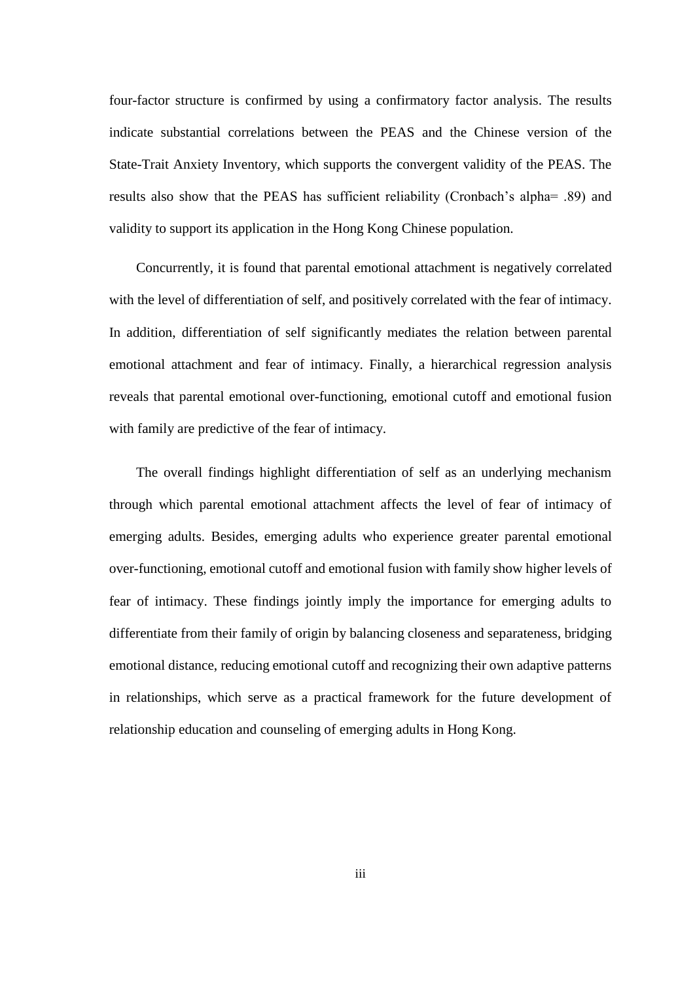four-factor structure is confirmed by using a confirmatory factor analysis. The results indicate substantial correlations between the PEAS and the Chinese version of the State-Trait Anxiety Inventory, which supports the convergent validity of the PEAS. The results also show that the PEAS has sufficient reliability (Cronbach's alpha= .89) and validity to support its application in the Hong Kong Chinese population.

Concurrently, it is found that parental emotional attachment is negatively correlated with the level of differentiation of self, and positively correlated with the fear of intimacy. In addition, differentiation of self significantly mediates the relation between parental emotional attachment and fear of intimacy. Finally, a hierarchical regression analysis reveals that parental emotional over-functioning, emotional cutoff and emotional fusion with family are predictive of the fear of intimacy.

The overall findings highlight differentiation of self as an underlying mechanism through which parental emotional attachment affects the level of fear of intimacy of emerging adults. Besides, emerging adults who experience greater parental emotional over-functioning, emotional cutoff and emotional fusion with family show higher levels of fear of intimacy. These findings jointly imply the importance for emerging adults to differentiate from their family of origin by balancing closeness and separateness, bridging emotional distance, reducing emotional cutoff and recognizing their own adaptive patterns in relationships, which serve as a practical framework for the future development of relationship education and counseling of emerging adults in Hong Kong.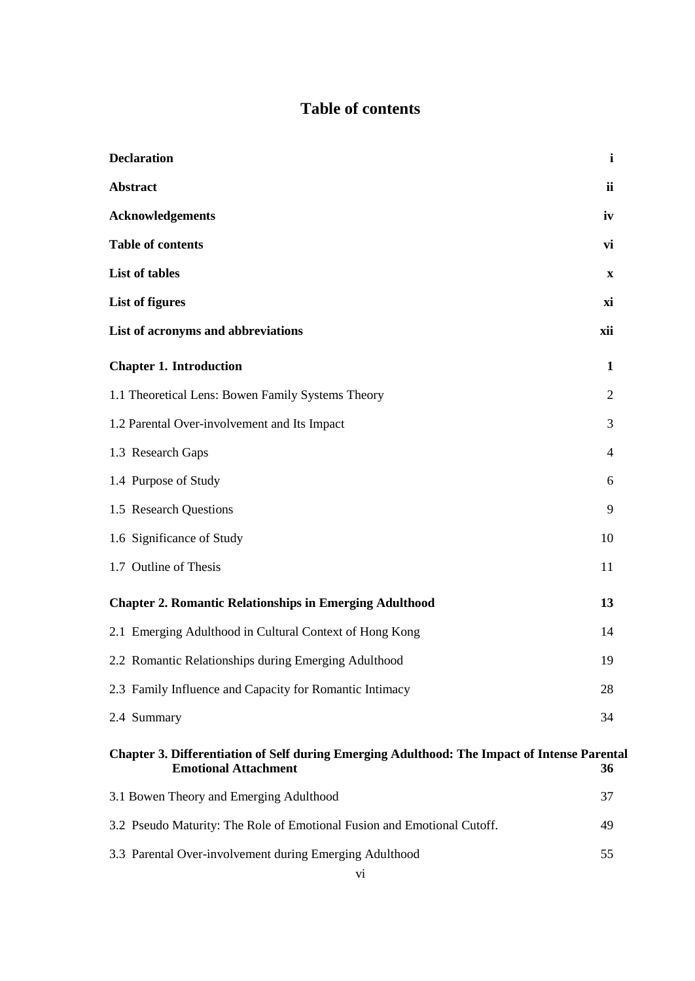## **Table of contents**

<span id="page-3-0"></span>

| <b>Declaration</b>                                                                                                                 | $\mathbf{i}$   |
|------------------------------------------------------------------------------------------------------------------------------------|----------------|
| Abstract                                                                                                                           | ii             |
| <b>Acknowledgements</b>                                                                                                            | iv             |
| <b>Table of contents</b>                                                                                                           | vi             |
| List of tables                                                                                                                     | $\mathbf X$    |
| <b>List of figures</b>                                                                                                             | xi             |
| List of acronyms and abbreviations                                                                                                 | xii            |
| <b>Chapter 1. Introduction</b>                                                                                                     | 1              |
| 1.1 Theoretical Lens: Bowen Family Systems Theory                                                                                  | $\overline{2}$ |
| 1.2 Parental Over-involvement and Its Impact                                                                                       | 3              |
| 1.3 Research Gaps                                                                                                                  | 4              |
| 1.4 Purpose of Study                                                                                                               | 6              |
| 1.5 Research Questions                                                                                                             | 9              |
| 1.6 Significance of Study                                                                                                          | 10             |
| 1.7 Outline of Thesis                                                                                                              | 11             |
| <b>Chapter 2. Romantic Relationships in Emerging Adulthood</b>                                                                     | 13             |
| 2.1 Emerging Adulthood in Cultural Context of Hong Kong                                                                            | 14             |
| 2.2 Romantic Relationships during Emerging Adulthood                                                                               | 19             |
| 2.3 Family Influence and Capacity for Romantic Intimacy                                                                            | 28             |
| 2.4 Summary                                                                                                                        | 34             |
| <b>Chapter 3. Differentiation of Self during Emerging Adulthood: The Impact of Intense Parental</b><br><b>Emotional Attachment</b> | 36             |
| 3.1 Bowen Theory and Emerging Adulthood                                                                                            | 37             |
| 3.2 Pseudo Maturity: The Role of Emotional Fusion and Emotional Cutoff.                                                            | 49             |
| 3.3 Parental Over-involvement during Emerging Adulthood                                                                            | 55             |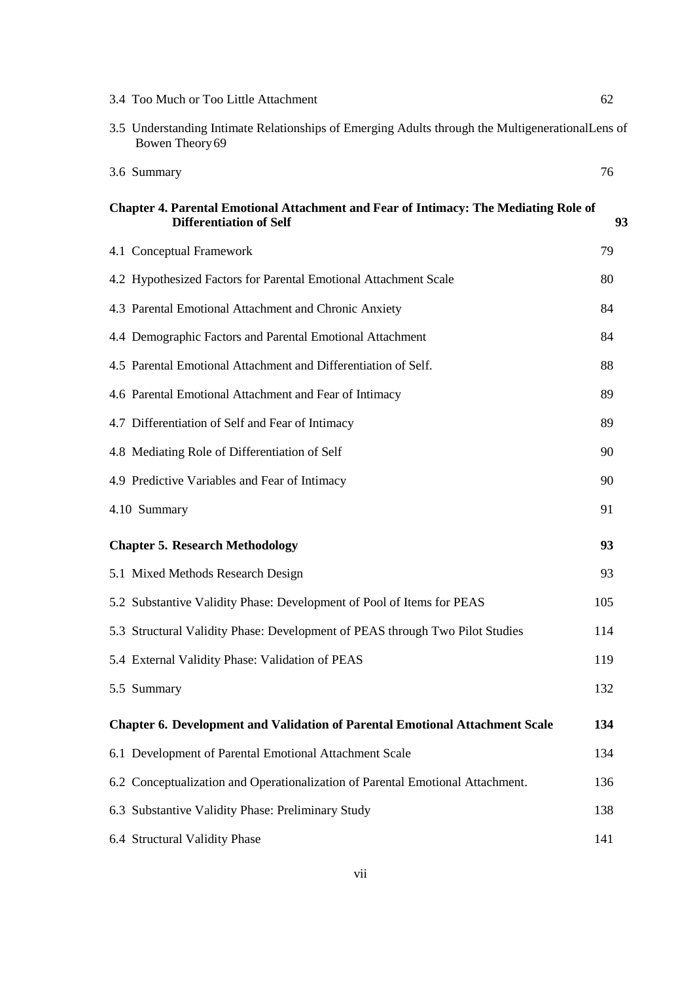| 3.4 Too Much or Too Little Attachment                                                                                         | 62  |
|-------------------------------------------------------------------------------------------------------------------------------|-----|
| 3.5 Understanding Intimate Relationships of Emerging Adults through the Multigenerational Lens of<br>Bowen Theory 69          |     |
| 3.6 Summary                                                                                                                   | 76  |
| <b>Chapter 4. Parental Emotional Attachment and Fear of Intimacy: The Mediating Role of</b><br><b>Differentiation of Self</b> | 93  |
| 4.1 Conceptual Framework                                                                                                      | 79  |
| 4.2 Hypothesized Factors for Parental Emotional Attachment Scale                                                              | 80  |
| 4.3 Parental Emotional Attachment and Chronic Anxiety                                                                         | 84  |
| 4.4 Demographic Factors and Parental Emotional Attachment                                                                     | 84  |
| 4.5 Parental Emotional Attachment and Differentiation of Self.                                                                | 88  |
| 4.6 Parental Emotional Attachment and Fear of Intimacy                                                                        | 89  |
| 4.7 Differentiation of Self and Fear of Intimacy                                                                              | 89  |
| 4.8 Mediating Role of Differentiation of Self                                                                                 | 90  |
| 4.9 Predictive Variables and Fear of Intimacy                                                                                 | 90  |
| 4.10 Summary                                                                                                                  | 91  |
| <b>Chapter 5. Research Methodology</b>                                                                                        | 93  |
| 5.1 Mixed Methods Research Design                                                                                             | 93  |
| 5.2 Substantive Validity Phase: Development of Pool of Items for PEAS                                                         | 105 |
| 5.3 Structural Validity Phase: Development of PEAS through Two Pilot Studies                                                  | 114 |
| 5.4 External Validity Phase: Validation of PEAS                                                                               | 119 |
| 5.5 Summary                                                                                                                   | 132 |
| <b>Chapter 6. Development and Validation of Parental Emotional Attachment Scale</b>                                           | 134 |
| 6.1 Development of Parental Emotional Attachment Scale                                                                        | 134 |
| 6.2 Conceptualization and Operationalization of Parental Emotional Attachment.                                                | 136 |
| 6.3 Substantive Validity Phase: Preliminary Study                                                                             | 138 |
| 6.4 Structural Validity Phase                                                                                                 | 141 |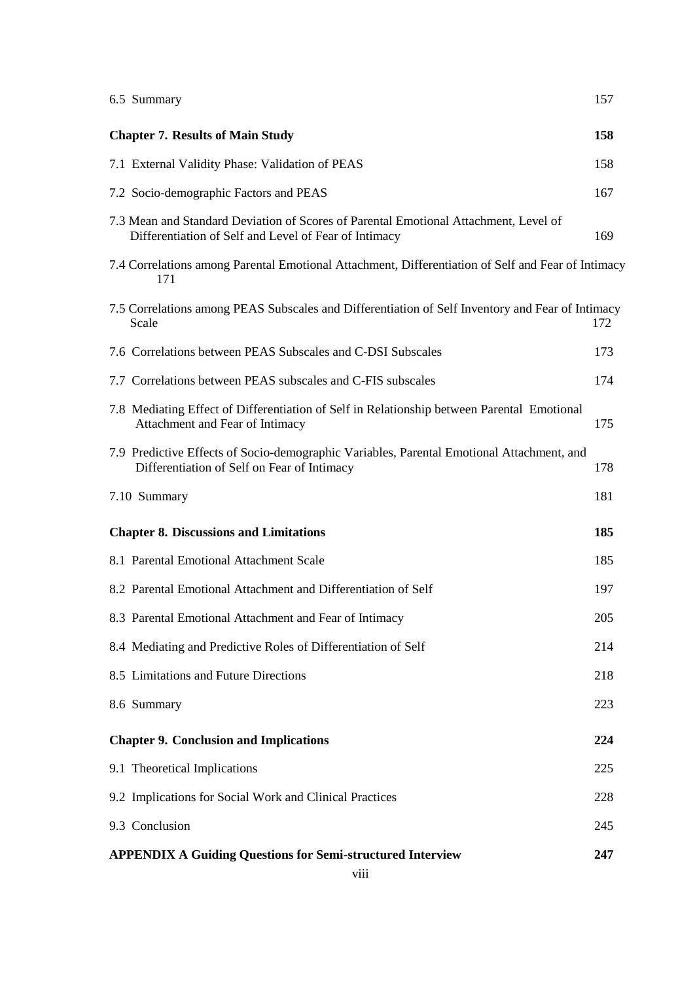| 6.5 Summary                                                                                                                                   | 157 |
|-----------------------------------------------------------------------------------------------------------------------------------------------|-----|
| <b>Chapter 7. Results of Main Study</b>                                                                                                       | 158 |
| 7.1 External Validity Phase: Validation of PEAS                                                                                               | 158 |
| 7.2 Socio-demographic Factors and PEAS                                                                                                        | 167 |
| 7.3 Mean and Standard Deviation of Scores of Parental Emotional Attachment, Level of<br>Differentiation of Self and Level of Fear of Intimacy | 169 |
| 7.4 Correlations among Parental Emotional Attachment, Differentiation of Self and Fear of Intimacy<br>171                                     |     |
| 7.5 Correlations among PEAS Subscales and Differentiation of Self Inventory and Fear of Intimacy<br>Scale                                     | 172 |
| 7.6 Correlations between PEAS Subscales and C-DSI Subscales                                                                                   | 173 |
| 7.7 Correlations between PEAS subscales and C-FIS subscales                                                                                   | 174 |
| 7.8 Mediating Effect of Differentiation of Self in Relationship between Parental Emotional<br>Attachment and Fear of Intimacy                 | 175 |
| 7.9 Predictive Effects of Socio-demographic Variables, Parental Emotional Attachment, and<br>Differentiation of Self on Fear of Intimacy      | 178 |
| 7.10 Summary                                                                                                                                  | 181 |
| <b>Chapter 8. Discussions and Limitations</b>                                                                                                 | 185 |
| 8.1 Parental Emotional Attachment Scale                                                                                                       | 185 |
| 8.2 Parental Emotional Attachment and Differentiation of Self                                                                                 | 197 |
| 8.3 Parental Emotional Attachment and Fear of Intimacy                                                                                        | 205 |
| 8.4 Mediating and Predictive Roles of Differentiation of Self                                                                                 | 214 |
| 8.5 Limitations and Future Directions                                                                                                         | 218 |
| 8.6 Summary                                                                                                                                   | 223 |
| <b>Chapter 9. Conclusion and Implications</b>                                                                                                 | 224 |
| 9.1 Theoretical Implications                                                                                                                  | 225 |
| 9.2 Implications for Social Work and Clinical Practices                                                                                       | 228 |
| 9.3 Conclusion                                                                                                                                | 245 |
| <b>APPENDIX A Guiding Questions for Semi-structured Interview</b>                                                                             | 247 |